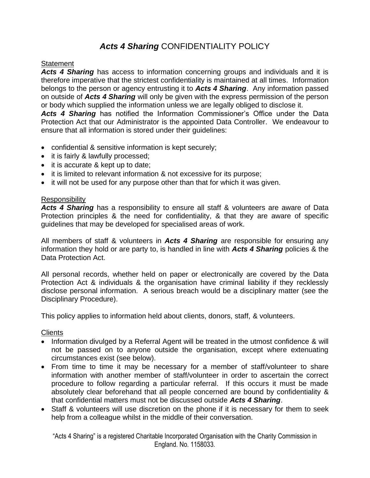# *Acts 4 Sharing* CONFIDENTIALITY POLICY

#### **Statement**

Acts 4 Sharing has access to information concerning groups and individuals and it is therefore imperative that the strictest confidentiality is maintained at all times. Information belongs to the person or agency entrusting it to *Acts 4 Sharing*. Any information passed on outside of *Acts 4 Sharing* will only be given with the express permission of the person or body which supplied the information unless we are legally obliged to disclose it.

*Acts 4 Sharing* has notified the Information Commissioner's Office under the Data Protection Act that our Administrator is the appointed Data Controller. We endeavour to ensure that all information is stored under their guidelines:

- confidential & sensitive information is kept securely;
- it is fairly & lawfully processed;
- it is accurate & kept up to date;
- it is limited to relevant information & not excessive for its purpose;
- it will not be used for any purpose other than that for which it was given.

## **Responsibility**

Acts 4 Sharing has a responsibility to ensure all staff & volunteers are aware of Data Protection principles & the need for confidentiality, & that they are aware of specific guidelines that may be developed for specialised areas of work.

All members of staff & volunteers in *Acts 4 Sharing* are responsible for ensuring any information they hold or are party to, is handled in line with *Acts 4 Sharing* policies & the Data Protection Act.

All personal records, whether held on paper or electronically are covered by the Data Protection Act & individuals & the organisation have criminal liability if they recklessly disclose personal information. A serious breach would be a disciplinary matter (see the Disciplinary Procedure).

This policy applies to information held about clients, donors, staff, & volunteers.

#### **Clients**

- Information divulged by a Referral Agent will be treated in the utmost confidence & will not be passed on to anyone outside the organisation, except where extenuating circumstances exist (see below).
- From time to time it may be necessary for a member of staff/volunteer to share information with another member of staff/volunteer in order to ascertain the correct procedure to follow regarding a particular referral. If this occurs it must be made absolutely clear beforehand that all people concerned are bound by confidentiality & that confidential matters must not be discussed outside *Acts 4 Sharing*.
- Staff & volunteers will use discretion on the phone if it is necessary for them to seek help from a colleague whilst in the middle of their conversation.

"Acts 4 Sharing" is a registered Charitable Incorporated Organisation with the Charity Commission in England. No. 1158033.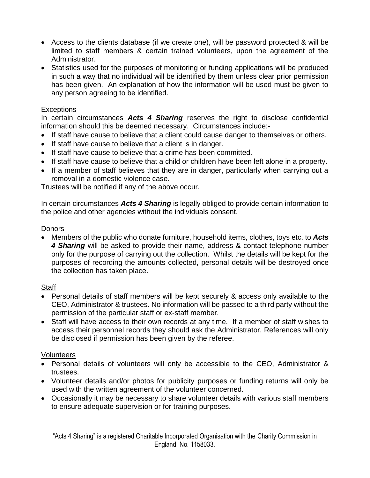- Access to the clients database (if we create one), will be password protected & will be limited to staff members & certain trained volunteers, upon the agreement of the Administrator.
- Statistics used for the purposes of monitoring or funding applications will be produced in such a way that no individual will be identified by them unless clear prior permission has been given. An explanation of how the information will be used must be given to any person agreeing to be identified.

## **Exceptions**

In certain circumstances *Acts 4 Sharing* reserves the right to disclose confidential information should this be deemed necessary. Circumstances include:-

- If staff have cause to believe that a client could cause danger to themselves or others.
- If staff have cause to believe that a client is in danger.
- If staff have cause to believe that a crime has been committed.
- If staff have cause to believe that a child or children have been left alone in a property.
- If a member of staff believes that they are in danger, particularly when carrying out a removal in a domestic violence case.

Trustees will be notified if any of the above occur.

In certain circumstances *Acts 4 Sharing* is legally obliged to provide certain information to the police and other agencies without the individuals consent.

# **Donors**

• Members of the public who donate furniture, household items, clothes, toys etc. to *Acts 4 Sharing* will be asked to provide their name, address & contact telephone number only for the purpose of carrying out the collection. Whilst the details will be kept for the purposes of recording the amounts collected, personal details will be destroyed once the collection has taken place.

# **Staff**

- Personal details of staff members will be kept securely & access only available to the CEO, Administrator & trustees. No information will be passed to a third party without the permission of the particular staff or ex-staff member.
- Staff will have access to their own records at any time. If a member of staff wishes to access their personnel records they should ask the Administrator. References will only be disclosed if permission has been given by the referee.

# **Volunteers**

- Personal details of volunteers will only be accessible to the CEO, Administrator & trustees.
- Volunteer details and/or photos for publicity purposes or funding returns will only be used with the written agreement of the volunteer concerned.
- Occasionally it may be necessary to share volunteer details with various staff members to ensure adequate supervision or for training purposes.

"Acts 4 Sharing" is a registered Charitable Incorporated Organisation with the Charity Commission in England. No. 1158033.